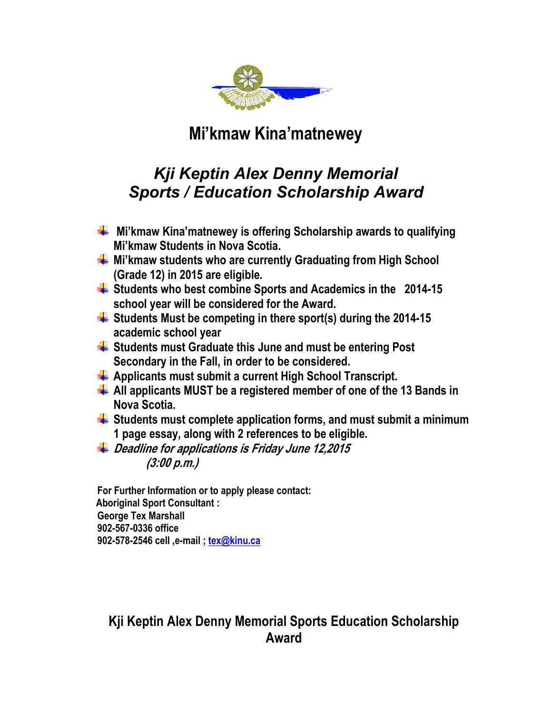

## **Mi'kmaw Kina'matnewey**

## *Kji Keptin Alex Denny Memorial Sports / Education Scholarship Award*

- **Mi'kmaw Kina'matnewey is offering Scholarship awards to qualifying Mi'kmaw Students in Nova Scotia.**
- **Mi'kmaw students who are currently Graduating from High School (Grade 12) in 2015 are eligible.**
- **Students who best combine Sports and Academics in the 2014-15 school year will be considered for the Award.**
- **Students Must be competing in there sport(s) during the 2014-15 academic school year**
- **Students must Graduate this June and must be entering Post Secondary in the Fall, in order to be considered.**
- **Applicants must submit a current High School Transcript.**
- **All applicants MUST be a registered member of one of the 13 Bands in Nova Scotia.**
- **Students must complete application forms, and must submit a minimum 1 page essay, along with 2 references to be eligible.**
- **Deadline for applications is Friday June 12,2015 (3:00 p.m.)**

**For Further Information or to apply please contact: Aboriginal Sport Consultant : George Tex Marshall 902-567-0336 office 902-578-2546 cell ,e-mail ; [tex@kinu.ca](mailto:tex@kinu.ca)**

## **Kji Keptin Alex Denny Memorial Sports Education Scholarship Award**